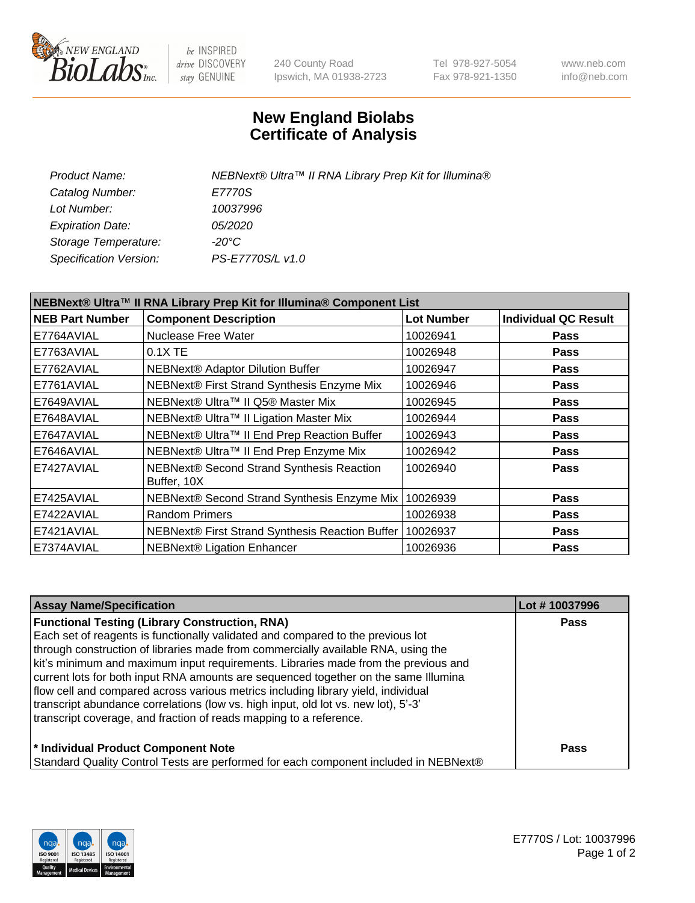

be INSPIRED drive DISCOVERY stay GENUINE

240 County Road Ipswich, MA 01938-2723 Tel 978-927-5054 Fax 978-921-1350 www.neb.com info@neb.com

## **New England Biolabs Certificate of Analysis**

| NEBNext® Ultra™ II RNA Library Prep Kit for Illumina® |
|-------------------------------------------------------|
| E7770S                                                |
| 10037996                                              |
| <i>05/2020</i>                                        |
| -20°C                                                 |
| PS-E7770S/L v1.0                                      |
|                                                       |

| NEBNext® Ultra™ II RNA Library Prep Kit for Illumina® Component List |                                                            |                   |                             |  |
|----------------------------------------------------------------------|------------------------------------------------------------|-------------------|-----------------------------|--|
| <b>NEB Part Number</b>                                               | <b>Component Description</b>                               | <b>Lot Number</b> | <b>Individual QC Result</b> |  |
| E7764AVIAL                                                           | <b>Nuclease Free Water</b>                                 | 10026941          | <b>Pass</b>                 |  |
| E7763AVIAL                                                           | 0.1X TE                                                    | 10026948          | <b>Pass</b>                 |  |
| E7762AVIAL                                                           | <b>NEBNext® Adaptor Dilution Buffer</b>                    | 10026947          | <b>Pass</b>                 |  |
| E7761AVIAL                                                           | NEBNext® First Strand Synthesis Enzyme Mix                 | 10026946          | <b>Pass</b>                 |  |
| E7649AVIAL                                                           | NEBNext® Ultra™ II Q5® Master Mix                          | 10026945          | <b>Pass</b>                 |  |
| E7648AVIAL                                                           | NEBNext® Ultra™ II Ligation Master Mix                     | 10026944          | <b>Pass</b>                 |  |
| E7647AVIAL                                                           | NEBNext® Ultra™ II End Prep Reaction Buffer                | 10026943          | <b>Pass</b>                 |  |
| E7646AVIAL                                                           | NEBNext® Ultra™ II End Prep Enzyme Mix                     | 10026942          | <b>Pass</b>                 |  |
| E7427AVIAL                                                           | NEBNext® Second Strand Synthesis Reaction<br>Buffer, 10X   | 10026940          | <b>Pass</b>                 |  |
| E7425AVIAL                                                           | NEBNext® Second Strand Synthesis Enzyme Mix                | 10026939          | <b>Pass</b>                 |  |
| E7422AVIAL                                                           | <b>Random Primers</b>                                      | 10026938          | <b>Pass</b>                 |  |
| E7421AVIAL                                                           | NEBNext® First Strand Synthesis Reaction Buffer   10026937 |                   | <b>Pass</b>                 |  |
| E7374AVIAL                                                           | <b>NEBNext® Ligation Enhancer</b>                          | 10026936          | <b>Pass</b>                 |  |

| <b>Assay Name/Specification</b>                                                      | Lot #10037996 |
|--------------------------------------------------------------------------------------|---------------|
| <b>Functional Testing (Library Construction, RNA)</b>                                | <b>Pass</b>   |
| Each set of reagents is functionally validated and compared to the previous lot      |               |
| through construction of libraries made from commercially available RNA, using the    |               |
| kit's minimum and maximum input requirements. Libraries made from the previous and   |               |
| current lots for both input RNA amounts are sequenced together on the same Illumina  |               |
| flow cell and compared across various metrics including library yield, individual    |               |
| transcript abundance correlations (low vs. high input, old lot vs. new lot), 5'-3'   |               |
| transcript coverage, and fraction of reads mapping to a reference.                   |               |
| * Individual Product Component Note                                                  | <b>Pass</b>   |
| Standard Quality Control Tests are performed for each component included in NEBNext® |               |